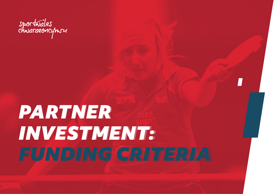

# *PARTNER PARTNER INVESTMENT: INVESTMENT: FUNDING CRITERIA FUNDING CRITERIA*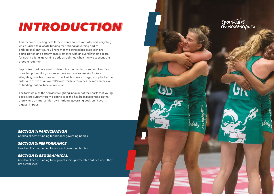## *INTRODUCTION INTRODUCTION*

This technical briefing details the criteria, sources of data, and weighting which is used to allocate funding for national governing bodies and regional entities. You'll note that the criteria has been split into participation and performance elements, with an overall funding score for each national governing body established when the two sections are brought together.

Separate criteria are used to determine the funding of regional entities, based on population, socio-economic and environmental factors. Weighting, which is in line with Sport Wales' new strategy, is applied to the criteria to arrive at an overall 'score' which determines the maximum level of funding that partners can receive.

The formula puts the heaviest weighting in favour of the sports that young people are currently participating in as this has been recognised as the area where an intervention by a national governing body can have its biggest impact.

*SECTION 1: PARTICIPATION* Used to allocate funding for national governing bodies.

#### *SECTION 2: PERFORMANCE*

Used to allocate funding for national governing bodies.

### *SECTION 3: GEOGRAPHICAL*

Used to allocate funding for regional sports partnership entities when they are established.

sportwales<br>chwaraeoncymru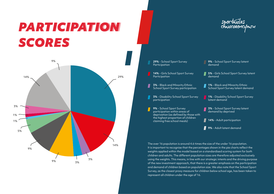## *PARTICIPATION PARTICIPATION SCORES SCORES*





The over 16 population is around 4.6 times the size of the under 16 population. It is important to recognise that the percentages shown in the pie charts reflect the weights applied within the model based on a standardised scoring system for both children and adults. The different population sizes are therefore adjusted exclusively using the weights. This means, in line with our strategic intents and the driving purpose of the new investment approach, that there is a greater emphasis on the participation and demand of children based on population size. We also note that the School Sport Survey, as the closest proxy measure for children below school age, has been taken to represent all children under the age of 16.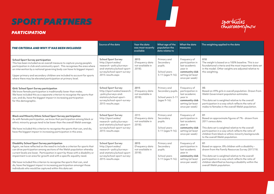### *SPORT PARTNERS SPORT PARTNERS*



### *PARTICIPATION*

| THE CRITERIA AND WHY IT HAS BEEN INCLUDED                                                                                                                                                                                                                                                                                                                                                                                                                                                                                                                                          | Source of the data                                                                                                                                                 | Year the data<br>was most recently<br>available       | What age of the<br>population the<br>data relates to                     | What the data<br>measures                                                                                             | The weighting applied to the data                                                                                                                                                                                                                                                                          |
|------------------------------------------------------------------------------------------------------------------------------------------------------------------------------------------------------------------------------------------------------------------------------------------------------------------------------------------------------------------------------------------------------------------------------------------------------------------------------------------------------------------------------------------------------------------------------------|--------------------------------------------------------------------------------------------------------------------------------------------------------------------|-------------------------------------------------------|--------------------------------------------------------------------------|-----------------------------------------------------------------------------------------------------------------------|------------------------------------------------------------------------------------------------------------------------------------------------------------------------------------------------------------------------------------------------------------------------------------------------------------|
| <b>School Sport Survey participation</b><br>This has been included as an overall measure to capture young people's<br>participation in club and community sport. This recognises the area where<br>an intervention by a national governing body can have its biggest impact.<br>Upper primary and secondary children are included to account for sports<br>where there may be elevated participation at primary level.                                                                                                                                                             | <b>School Sport Survey</b><br>http://sport.wales/<br>research--policy/surveys-<br>and-statistics/school-sport-<br>survey/school-sport-survey-<br>2015-results.aspx | 2015<br>(Frequency data<br>not available in<br>2018). | Primary and<br>Secondary<br>pupils.<br>School years<br>5-11 (ages 9-16). | Frequency of<br>participation in<br>last academic<br>year in<br>community club<br>setting (at least<br>once per week) | X10<br>The weight is based on a 100% baseline. This is our<br>foundational criteria and the most important data set<br>in the model. Other weights are adjusted relative to<br>this weighting.                                                                                                             |
| Girls' School Sport Survey participation<br>We know female participation is traditionally lower than males.<br>We have included this as a separate criterion to recognise the sports that<br>can, and do, have the biggest impact in increasing participation<br>for this demographic.                                                                                                                                                                                                                                                                                             | <b>School Sport Survey</b><br>http://sport.wales/research-<br>-policy/surveys-and-<br>statistics/school-sport-<br>survey/school-sport-survey-<br>2015-results.aspx | 2015<br>(Frequency data<br>not available in<br>2018). | Primary and<br>Secondary pupils.<br>School years 5-11<br>(ages 9-16).    | Frequency of<br>participation in<br>last academic<br>year in<br>community club<br>setting (at least<br>once per week) | X5<br>Based on 49% girls in overall population. Drawn from<br>Welsh Government population estimates.<br>This data set is weighted relative to the overall<br>participation in a way which reflects the ratio of<br>males to females in the overall Welsh population.                                       |
| <b>Black and Minority Ethnic School Sport Survey participation</b><br>As with female participation, we know that participation among black or<br>ethnic minority groups tend to be lower than the overall Welsh average.<br>We have included this criterion to recognise the sports that can, and do,<br>have the biggest impact in increasing participation in this area.                                                                                                                                                                                                         | <b>School Sport Survey</b><br>http://sport.wales/<br>research--policy/surveys-<br>and-statistics/school-sport-<br>survey/school-sport-survey-<br>2015-results.aspx | 2015<br>(Freauency data<br>not available in<br>2018). | Primary and<br>Secondary<br>pupils.<br>School years<br>5-11 (ages 9-16). | Frequency of<br>participation in<br>last academic<br>year in<br>community club<br>setting (at least<br>once per week) | X1<br>Based on approximate figures of 7% - drawn from<br>2011 census data.<br>This data set is weighted relative to the overall<br>participation in a way which reflects the ratio of<br>children from black or ethnic minority backgrounds<br>to the overall Welsh population.                            |
| <b>Disability School Sport Survey participation</b><br>Again, we have reflected on the need to include a criterion for sports that<br>can drive participation among sections of the Welsh population whereby<br>current levels are lower. Participation in sport by those with a disability or<br>impairment is an area for growth and with a specific equality need.<br>We have included this criterion to recognise the sports that can, and<br>do, have the biggest impact in increasing participation amongst those<br>individuals who would be captured within this data set. | <b>School Sport Survey</b><br>http://sport.wales/<br>research--policy/surveys-<br>and-statistics/school-sport-<br>survey/school-sport-survey-<br>2015-results.aspx | 2015<br>(Frequency data<br>not available in<br>2018). | Primary and<br>Secondary<br>pupils.<br>School years<br>5-11 (ages 9-16). | Frequency of<br>participation in<br>last academic<br>vear in<br>community club<br>setting (at least<br>once per week) | X1<br>Based on approx. 8% children with a disability -<br>drawn from the Family Resources Survey 2017/18.<br>This data set is weighted relative to the overall<br>participation in a way which reflects the ratio of<br>children identified as having a disability within the<br>overall Welsh population. |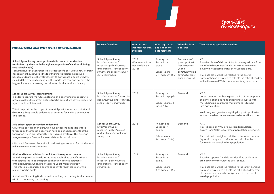

| THE CRITERIA AND WHY IT HAS BEEN INCLUDED                                                                                                                                                                                                                                                                                                                                                                                                                                                                                                                   | Source of the data                                                                                                                                                 | Year the data<br>was most recently<br>available       | What age of the<br>population the<br>data relates to                     | What the data<br>measures                                                                                             | The weighting applied to the data                                                                                                                                                                                                                                                                                                                              |
|-------------------------------------------------------------------------------------------------------------------------------------------------------------------------------------------------------------------------------------------------------------------------------------------------------------------------------------------------------------------------------------------------------------------------------------------------------------------------------------------------------------------------------------------------------------|--------------------------------------------------------------------------------------------------------------------------------------------------------------------|-------------------------------------------------------|--------------------------------------------------------------------------|-----------------------------------------------------------------------------------------------------------------------|----------------------------------------------------------------------------------------------------------------------------------------------------------------------------------------------------------------------------------------------------------------------------------------------------------------------------------------------------------------|
| School Sport Survey participation within areas of deprivation<br>(as defined by those with the highest proportion of children claiming<br>free school meals)<br>Tackling issues of deprivation is a key aspect of Sport Wales' new strategy.<br>Recognising this, as well as the fact that individuals from deprived<br>backgrounds are less likely statistically to participate in sport, we have<br>included this criterion to recognise the sports that can, and do, have the<br>biggest impact in increasing participation for this section of society. | <b>School Sport Survey</b><br>http://sport.wales/<br>research--policy/surveys-<br>and-statistics/school-sport-<br>survey/school-sport-survey-<br>2015-results.aspx | 2015<br>(Frequency data<br>not available in<br>2018). | Primary and<br>Secondary<br>pupils.<br>School years<br>5-11 (ages 9-16). | Frequency of<br>participation in<br>last academic<br>year in<br>community club<br>setting (at least<br>once per week) | X <sub>3</sub><br>Based on 28% of children living in poverty - drawn from<br>the Welsh Government's children in relative income<br>poverty by economic status of household data.<br>This data set is weighted relative to the overall<br>participation in a way which reflects the ratio of children<br>within the overall Welsh population living in poverty. |
| School Sport Survey latent demand<br>In order to capture the future potential of a sport and its capacity to<br>grow, as well as the current picture (participation), we have included the<br>figures for latent demand.<br>This data provides the scope of potential participants that a National<br>Governing Body should be looking at catering for within a community<br>club setting.                                                                                                                                                                  | <b>School Sport Survey</b><br>http://sport.wales/research-<br>policy/surveys-and-statistics/<br>school-sport-survey.aspx                                           | 2018                                                  | Primary and<br>Secondary pupils.<br>School years 3-11<br>(ages 7-16).    | Demand                                                                                                                | $X$ 3.3<br>Latent demand has been given a third of the emphasis<br>of participation due to its importance coupled with<br>there being no guarantee that demand is turned<br>into participation.<br>We have given greater weighting for participation to<br>ensure there is an incentive to turn demand into action.                                            |
| Girls School Sport Survey latent demand<br>As with the participation data, we have established specific criteria<br>to recognise the impact a sport can have on defined segments of the<br>population which are integral to Sport Wales' strategy. This criterion<br>recognises a sport's capacity to reach female participants.<br>A National Governing Body should be looking at catering for this demand<br>within a community club setting.                                                                                                             | <b>School Sport Survey</b><br>http://sport.wales/<br>research--policy/surveys-<br>and-statistics/school-sport-<br>survey.aspx                                      | 2018                                                  | Primary and<br>Secondary<br>pupils.<br>School years<br>3-11 (ages 7-16). | Demand                                                                                                                | X <sub>1.7</sub><br>This is based on 49% girls in overall population -<br>drawn from Welsh Government population estimates.<br>This data set is weighted relative to the latent demand<br>figures in a way which reflects the ratio of males to<br>females in the overall Welsh population.                                                                    |
| Black and Minority Ethnic School Sport Survey latent demand<br>As with the participation data, we have established specific criteria<br>to recognise the impact a sport can have on defined segments<br>of the population which are integral to Sport Wales' strategy.<br>This criterion recognises a sport's capacity to reach black or ethnic<br>minority participants.<br>A National Governing Body should be looking at catering for this demand<br>within a community club setting.                                                                    | <b>School Sport Survey</b><br>http://sport.wales/<br>research--policy/surveys-<br>and-statistics/school-sport-<br>survey.aspx                                      | 2018                                                  | Primary and<br>Secondary<br>pupils.<br>School years<br>3-11 (ages 7-16). | Demand                                                                                                                | X <sub>0.3</sub><br>Based on approx. 7% children identified as black or<br>ethnic minority through the 2011 census.<br>This data set is weighted relative to the latent demand<br>figure in a way which reflects the ratio of children from<br>black or ethnic minority backgrounds to the overall<br>Welsh population.                                        |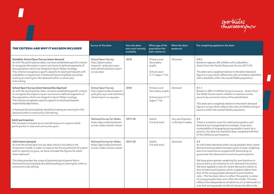

 $\overline{\bm{D}}$ 

| THE CRITERIA AND WHY IT HAS BEEN INCLUDED                                                                                                                                                                                                                                                                                                                                                                                                                                        | Source of the data                                                                                                            | Year the data<br>was most recently<br>available | What age of the<br>population the<br>data relates to                     | What the data<br>measures                | The weighting applied to the data                                                                                                                                                                                                                                                                                                                                                                                                                                                                                                                                                                                                                                                                                                                                                           |
|----------------------------------------------------------------------------------------------------------------------------------------------------------------------------------------------------------------------------------------------------------------------------------------------------------------------------------------------------------------------------------------------------------------------------------------------------------------------------------|-------------------------------------------------------------------------------------------------------------------------------|-------------------------------------------------|--------------------------------------------------------------------------|------------------------------------------|---------------------------------------------------------------------------------------------------------------------------------------------------------------------------------------------------------------------------------------------------------------------------------------------------------------------------------------------------------------------------------------------------------------------------------------------------------------------------------------------------------------------------------------------------------------------------------------------------------------------------------------------------------------------------------------------------------------------------------------------------------------------------------------------|
| Disability School Sport Survey latent demand<br>As with the participation data, we have established specific criteria<br>to recognise the impact a sport can have on defined segments of<br>the population which are integral to Sport Wales' strategy.<br>This criterion recognises a sport's capacity to reach participants with<br>a disability or impairment. A National Governing Body should be<br>looking at catering for this demand within a community<br>club setting. | <b>School Sport Survey</b><br>http://sport.wales/<br>research--policy/surveys-<br>and-statistics/school-sport-<br>survey.aspx | 2018                                            | Primary and<br>Secondary<br>pupils.<br>School years<br>3-11 (ages 7-16). | Demand                                   | X <sub>0.3</sub><br>Based on approx. 8% children with a disability -<br>drawn from the Family Resources Survey 2017/18.<br>This data set is weighted relative to the latent demand<br>figure in a way which reflects the ratio of children identified<br>with a disability within the overall Welsh population.                                                                                                                                                                                                                                                                                                                                                                                                                                                                             |
| School Sport Survey latent demand by deprived<br>As with the participation data, we have established specific criteria<br>to recognise the impact a sport can have on defined segments of<br>the population which are integral to Sport Wales' strategy.<br>This criterion recognises a sport's capacity to reach participants<br>impacted by deprivation.<br>A National Governing Body should be looking at catering for this<br>demand within a community club setting.        | <b>School Sport Survey</b><br>http://sport.wales/research--<br>policy/surveys-and-statistics/<br>school-sport-survey.aspx     | 2018                                            | Primary and<br>Secondary pupils.<br>School years 3-11<br>(ages 7-16).    | Demand                                   | $X$ 1.1<br>Based on 28% of children living in poverty - drawn from<br>the Welsh Government's children in relative income<br>poverty by economic status of household data.<br>This data set is weighted relative to the latent demand<br>figure in a way which reflects the ratio of children living in<br>poverty within the overall Welsh population.                                                                                                                                                                                                                                                                                                                                                                                                                                      |
| Adult participation<br>This has been included as an overall measure to capture adult<br>participation in club and community sport.                                                                                                                                                                                                                                                                                                                                               | National Survey for Wales<br>https://gov.wales/national-<br>survey-wales-results-viewer                                       | 2019-20                                         | Adults<br>(16 and over)                                                  | Any participation<br>in the last 4 weeks | X <sub>5</sub><br>There is a need to score for adult participation and<br>demand, but recognising the strategic, long-term,<br>sustainability of engaging young people in sport as a<br>priority, this data has therefore been weighted half that<br>of the children's participation.                                                                                                                                                                                                                                                                                                                                                                                                                                                                                                       |
| Adult latent demand<br>As with the school sport survey data which is included in the<br>investment model, in order to capture the future potential of a sport<br>and its capacity to grow, we have included the figures for adult<br>latent demand.<br>This data provides the scope of potential participants that a<br>National Governing Body should be looking at catering for within a<br>community club setting.                                                            | <b>National Survey for Wales</b><br>https://gov.wales/national-<br>survey-wales-results-viewer                                | 2019-20                                         | Adults<br>(16 and over)                                                  | Demand                                   | X <sub>3</sub><br>As with latent demand within young people's data, latent<br>demand among adults has been given a lower weighting<br>due to its importance coupled with there being no<br>guarantee that demand is turned into participation.<br>We have given greater weighting for participation to<br>ensure there is an incentive to turn demand into action.<br>We have applied a ratio for latent demand in adults to<br>that of adult participation which is slightly higher than<br>that of the young people's demand to participation<br>ratio. This has been done to reflect the greater number<br>of young people's data sets within the model. This also<br>reflects the independence of adults to act on demand in a<br>way that young people would not always be able to do. |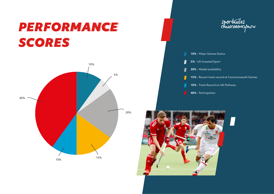## *PERFORMANCE PERFORMANCE SCORES SCORES*





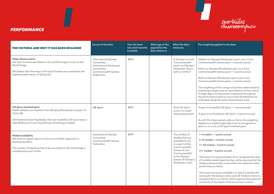### *PERFORMANCE*



| THE CRITERIA AND WHY IT HAS BEEN INCLUDED                                                                                                                                                                                                    | Source of the data                                                                                                        | Year the data<br>was most recently<br>available | What age of the<br>population the<br>data relates to | What the data<br>measures                                                                                                                                                                | The weighting applied to the data                                                                                                                                                                                                                                                                                                                                                                                                                                                                                                                                                          |
|----------------------------------------------------------------------------------------------------------------------------------------------------------------------------------------------------------------------------------------------|---------------------------------------------------------------------------------------------------------------------------|-------------------------------------------------|------------------------------------------------------|------------------------------------------------------------------------------------------------------------------------------------------------------------------------------------------|--------------------------------------------------------------------------------------------------------------------------------------------------------------------------------------------------------------------------------------------------------------------------------------------------------------------------------------------------------------------------------------------------------------------------------------------------------------------------------------------------------------------------------------------------------------------------------------------|
| <b>Major Games status</b><br>We want to showcase Wales to the world through success on the<br>World Stage.<br>We believe that the major multi-sport Games are consistently the<br>highest profile means of doing this.                       | International Olympic<br>Committee,<br>International Paralympic<br>Committee,<br><b>Commonwealth Games</b><br>Federation. | 2019                                            |                                                      | Is the Sport a Core<br>Commonwealth<br>Sport, an Olympic/<br>Paralympic Sport,<br>both or neither?                                                                                       | Neither an Olympic/Paralympic sport, nor a Core<br>Commonwealth Games sport = 0 points scored.<br>Either an Olympic/Paralympic sport or a Core<br>Commonwealth Games sport = 1 points scored.<br>Both an Olympic/Paralympic sport and a Core<br>Commonwealth Games sport = 2 points scored.<br>The weighting of this category has been determined by<br>attaching a single score to each element of the criteria.<br>A single digit scoring system is repeated throughout<br>the performance data to ensure that all elements are<br>evaluated along the same measurement scale.           |
| <b>UK Sport invested sport</b><br>Welsh athletes win medals at the Olympics/Paralympics as part of<br>Team GB.<br>UK National Governing Bodies that are funded by UK Sport have a<br>high likelihood of returning Olympic/Paralympic medals. | <b>UK Sport</b>                                                                                                           | 2019                                            |                                                      | Does UK Sport<br>invest in a world<br>class programme?                                                                                                                                   | A sport is funded by UK Sport = 1 points scored.<br>A sport is not funded by UK Sport = 0 points scored.<br>As with the major game's status criteria, the weighting<br>applied is a simple single digit score to recognise is a<br>sport is, or is not, a UK Sport invested sport.                                                                                                                                                                                                                                                                                                         |
| Medal availability<br>We want to support sports to focus on a holistic approach to<br>developing talent.<br>The number of opportunities to be successful on the world stage is<br>considered as part of this.                                | International Olympic<br>Committee,<br><b>Commonwealth Games</b><br>Federation                                            | 2019                                            |                                                      | The number of<br>medals that are<br>available to win<br>in a sport at the<br>Commonwealth<br>Games (if core<br>Commonwealth)<br>or the Olympic<br>Games (if Olympic/<br>Paralympic only) | 1-4 medals = 1 points scored.<br>5-10 medals = 2 points scored.<br>11-30 medals = 3 points scored.<br>31+ medals = 4 points scored.<br>The scale of scoring has been set to recognise the value<br>of multiple medal opportunities, while ensuring that the<br>sliding scale provides scores which are relative to other<br>performance criteria.<br>The maximum score available is 4, which is double the<br>scoring for the Games' status and UK funded criteria to<br>recognise this is a criterion which captures the potential<br>outcomes of the intents of those previous criteria. |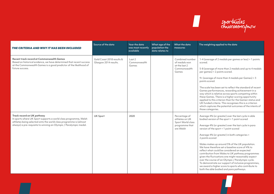

**The Contract State** 

| THE CRITERIA AND WHY IT HAS BEEN INCLUDED                                                                                                                                                                                                | Source of the data                                 | Year the data<br>was most recently<br>available | What age of the<br>population the<br>data relates to | What the data<br>measures                                                           | The weighting applied to the data                                                                                                                                                                                                                                                                                                                                                                                                                                                                                                                                                                                                                                                                                                                   |
|------------------------------------------------------------------------------------------------------------------------------------------------------------------------------------------------------------------------------------------|----------------------------------------------------|-------------------------------------------------|------------------------------------------------------|-------------------------------------------------------------------------------------|-----------------------------------------------------------------------------------------------------------------------------------------------------------------------------------------------------------------------------------------------------------------------------------------------------------------------------------------------------------------------------------------------------------------------------------------------------------------------------------------------------------------------------------------------------------------------------------------------------------------------------------------------------------------------------------------------------------------------------------------------------|
| Recent track record at Commonwealth Games<br>Based on historical evidence, we have determined that recent success<br>at the Commonwealth Games is a good predictor of the likelihood of<br>future success.                               | Gold Coast 2018 results &<br>Glasgow 2014 results. | Last 2<br>Commonwealth<br>Games                 |                                                      | Combined number<br>of medals won<br>at the last 2<br>Commonwealth<br>Games          | 1-4 (average of 2 medals per games or less) = 1 points<br>scored.<br>5-8 (average of more than 2 medals and up to 4 medals<br>per games) = 2 points scored.<br>9+ (average of more than 4 medals per Games) = 3<br>points scored.<br>The scale has been set to reflect the standard of recent<br>Games performances, rewarding achievement in a<br>way which is relative across sports competing within<br>these Games. There is a higher scoring opportunity<br>applied to this criterion than for the Games' status and<br>UK funded criteria. This recognises this is a criterion<br>which captures the potential outcomes of the intents of<br>those categories.                                                                                |
| Track record on UK pathway<br>In sports where UK Sport supports a world class programme, Welsh<br>athletes being selected onto the world class programme is (almost<br>always) a pre-requisite to winning an Olympic / Paralympic medal. | <b>UK Sport</b>                                    | 2020                                            |                                                      | Percentage of<br>athletes on UK<br>Sport World class<br>programme that<br>are Welsh | Average 4% (or greater) over the last cycle in able<br>bodied version of the sport = 1 point scored<br>Average 4% (or greater) over the last cycle in para<br>version of the sport = 1 point scored<br>Average 4% (or greater) in both categories =<br>2 points scored<br>Wales makes up around 5% of the UK population.<br>We have therefore set a baseline score of 4% to<br>reflect what could be considered an expected<br>contribution from Wales to UK pathway programmes<br>given the fluctuations one might reasonably expect<br>over the course of an Olympic / Paralympic cycle.<br>To demonstrate our support of inclusive programmes,<br>we award a higher score to sports who contribute to<br>both the able bodied and para pathways. |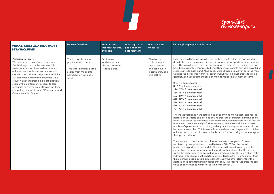

| <b>THE CRITERIA AND WHY IT HAS</b><br><b>BEEN INCLUDED</b>                                                                                                                                                                                                                                                                                                                                                                                                                                                   | Source of the data                                                                                                                              | Year the data<br>was most recently<br>available                        | What age of the<br>population the<br>data relates to | What the data<br>measures                                                                                 | The weighting applied to the data                                                                                                                                                                                                                                                                                                                                                                                                                                                                                                                                                                                                                                                                                                                                                                                                                                                                                                                                                                                                                                                                                                                                                                                                                                                                                                                                                                                                                                                                                                                                                                                                                                                                                                                                                                                                                                                                                                                                                                                                                                                                                                                                                                                                           |
|--------------------------------------------------------------------------------------------------------------------------------------------------------------------------------------------------------------------------------------------------------------------------------------------------------------------------------------------------------------------------------------------------------------------------------------------------------------------------------------------------------------|-------------------------------------------------------------------------------------------------------------------------------------------------|------------------------------------------------------------------------|------------------------------------------------------|-----------------------------------------------------------------------------------------------------------|---------------------------------------------------------------------------------------------------------------------------------------------------------------------------------------------------------------------------------------------------------------------------------------------------------------------------------------------------------------------------------------------------------------------------------------------------------------------------------------------------------------------------------------------------------------------------------------------------------------------------------------------------------------------------------------------------------------------------------------------------------------------------------------------------------------------------------------------------------------------------------------------------------------------------------------------------------------------------------------------------------------------------------------------------------------------------------------------------------------------------------------------------------------------------------------------------------------------------------------------------------------------------------------------------------------------------------------------------------------------------------------------------------------------------------------------------------------------------------------------------------------------------------------------------------------------------------------------------------------------------------------------------------------------------------------------------------------------------------------------------------------------------------------------------------------------------------------------------------------------------------------------------------------------------------------------------------------------------------------------------------------------------------------------------------------------------------------------------------------------------------------------------------------------------------------------------------------------------------------------|
| <b>Participation score</b><br>We don't want to simply chase medals.<br>Establishing a shift in the way in which<br>performance sport is valued we want to<br>achieve sustainable success on the world<br>stage in sports that are important to Wales<br>culturally as well as at major Games. As a<br>result, we have factored in a participation<br>score within performance scores to also<br>recognise performance pathways for those<br>competing in non-Olympic / Paralympic and<br>Commonwealth Games. | Total scores from the<br>participation criteria.<br>This criterion takes all the<br>scores from the sports<br>participation data as a<br>total. | Various as<br>outlined within<br>the participation<br>criteria detail. |                                                      | The size and<br>scale of impact<br>that a sport is,<br>and can have in<br>a community and<br>club setting | Every sport will have an overall score for their results within the participation<br>data (school sport survey participation, national survey participation, demand<br>etc.) The overall scores from the participation element of the funding criteria<br>have been split into 9 separate but equal bands, with points provided on a sliding<br>scale relative to each band. Nine bands were utilised as a way of ensuring there<br>was a spread of scores within this criterion, but which did not create too big a<br>gap between each partner based on their participation element outcome.<br>$0-87 = 0$ points scored.<br>$88-175 = 1$ points scored.<br>$176 - 263 = 2$ points scored.<br>$264 - 351 = 3$ points scored.<br>$352-439 = 4$ points scored.<br>$440-527 = 5$ points scored.<br>$528-615 = 6$ points scored.<br>$616 - 703 = 7$ points scored.<br>$704-791 = 8$ points scored.<br>The individual bands were determined by examining the highest score for the<br>performance criteria and dividing by 9 to create the consistent banding points.<br>It would be proposed that this is replicated each funding cycle to ensure that the<br>bands were relative to the performance scores at each round. There is no set<br>number of sports within each band, and any individual sports scores would not<br>be relative to another. This is to say that should one sport be placed in a higher<br>or lower band, that would have no implications for the scoring of another sport<br>through this criterion.<br>The maximum score for the participation element is capped at 8 points<br>(achieved by any sport which scored between 720-809 on the overall<br>participation portion of the model). This reflects the need to recognise the<br>cultural and societal importance of the participation element of the scoring<br>within the performance pathway. It is weighted as double the score of any other<br>individual criterion within the performance criteria, but is weighted lower than<br>the maximum possible score achievable through the other elements of the<br>performance data (totaling an upper limit of 12) in order to recognise the core<br>value of performance within this section of the model. |

 $\mathbf{L}$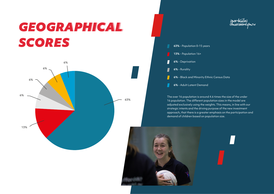## *GEOGRAPHICAL GEOGRAPHICAL SCORES SCORES* **63%** - Population 0-15 years





The over 16 population is around 4.6 times the size of the under 16 population. The different population sizes in the model are adjusted exclusively using the weights. This means, in line with our strategic intents and the driving purpose of the new investment approach, that there is a greater emphasis on the participation and demand of children based on population size.

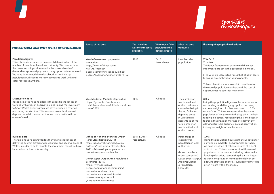

| THE CRITERIA AND WHY IT HAS BEEN INCLUDED                                                                                                                                                                                                                                                                                                                                                                                                 | Source of the data                                                                                                                                                                                                                                                                                                                                                                                                                                                | Year the data<br>was most recently<br>available | What age of the<br>population the<br>data relates to | What the data<br>measures                                                                                                                                                                                                 | The weighting applied to the data                                                                                                                                                                                                                                                                                                                                                                                                                                                               |
|-------------------------------------------------------------------------------------------------------------------------------------------------------------------------------------------------------------------------------------------------------------------------------------------------------------------------------------------------------------------------------------------------------------------------------------------|-------------------------------------------------------------------------------------------------------------------------------------------------------------------------------------------------------------------------------------------------------------------------------------------------------------------------------------------------------------------------------------------------------------------------------------------------------------------|-------------------------------------------------|------------------------------------------------------|---------------------------------------------------------------------------------------------------------------------------------------------------------------------------------------------------------------------------|-------------------------------------------------------------------------------------------------------------------------------------------------------------------------------------------------------------------------------------------------------------------------------------------------------------------------------------------------------------------------------------------------------------------------------------------------------------------------------------------------|
| <b>Population figures</b><br>This criterion is included as an overall determination of the<br>number of people within a local authority. We have included<br>this measure as it provides us with the size and scale of<br>demand for sport and physical activity opportunities required.<br>We have determined that a local authority with large<br>populations will require more investment to work with and<br>cater for those numbers. | Welsh Government population<br>projections<br>http://www.infobasecymru.<br>net/IAS/themes/<br>people, communities and equalities/<br>people/population/view?viewId=1152                                                                                                                                                                                                                                                                                           | 2018                                            | $0 - 15$<br>16 and over                              | Usual resident<br>population                                                                                                                                                                                              | $X 5 - 0 - 15$<br>$X1 - 16 +$<br>This is our foundational criteria and the most<br>important data set in the geographical model.<br>0-15 year old score is five times that of adult score<br>to ensure an emphasis on young people.<br>This combination score takes into consideration<br>the overall population numbers and the cost of<br>opportunities to cater for this cohort.                                                                                                             |
| <b>Deprivation data</b><br>Recognising the need to address the specific challenges of<br>working with areas of deprivation, and linking the investment<br>to Sport Wales priority areas, we have included a criterion<br>measuring deprivation. This measure evaluates the most<br>deprived wards in an area so that we can invest into those<br>areas of need.                                                                           | Welsh Index of Multiple Deprivation<br>https://gov.wales/welsh-index-<br>multiple-deprivation-full-index-update-<br>ranks-2019                                                                                                                                                                                                                                                                                                                                    | 2019                                            | All ages                                             | The number of<br>wards in a local<br>authority that are<br>classed as being in<br>the top fifth most<br>deprived areas<br>in Wales (as a<br>percentage of the<br>total number of<br>wards in the local<br>authority area) | X <sub>0.5</sub><br>Using the population figure as the foundation for<br>our funding model for geographical partners,<br>we have weighted all other measures at a 0.5%<br>ratio of that. This ratio ensures that the overall<br>population of the partner is the key driver in their<br>funding allocation, recognising this is the biggest<br>factor in the provision they need to deliver, but<br>allowing strategic priorities, such as deprivation,<br>to be given weight within the model. |
| <b>Rurality data</b><br>There is a need to acknowledge the varying challenges of<br>delivering sport in different geographical and societal areas of<br>Wales. In order to build this into the investment model we have<br>included an indicator for rurality.                                                                                                                                                                            | Office of National Statistics Urban<br><b>Rural Classification (2011)</b><br>http://geoportal.statistics.gov.uk/<br>datasets/rural-urban-classification-<br>2011-of-lower-layer-super-output-<br>areas-in-england-and-wales<br>Lower Super Output Area Population<br>Estimates (2017)<br>https://www.ons.gov.uk<br>peoplepopulationandcommunity/<br>populationandmigration<br>populationestimates/datasets/<br>lowersuperoutputareamid<br>yearpopulationestimates | 2011 & 2017<br>respectively                     | All ages                                             | Percentage of<br>overall rural<br>population in local<br>authorities<br>(based on all non-<br>urban categories)<br>Lower Super Output<br>Area Population<br>& Population<br>Estimates                                     | X <sub>0.5</sub><br>Using the population figure as the foundation for<br>our funding model for geographical partners,<br>we have weighted all other measures at a 0.5%<br>ratio of that. This ratio ensures that the overall<br>population of the partner is the key driver in their<br>funding allocation, recognising this is the biggest<br>factor in the provision they need to deliver, but<br>allowing strategic priorities, such as rurality, to be<br>given weight within the model.    |